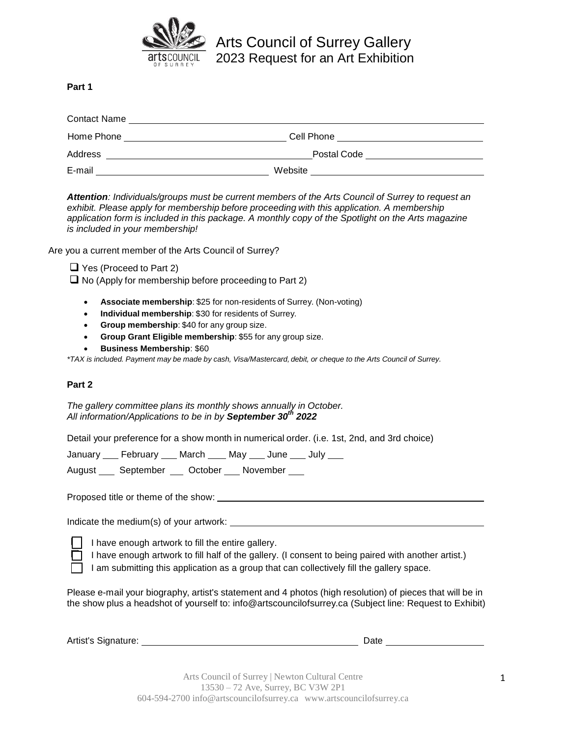

Arts Council of Surrey Gallery 2023 Request for an Art Exhibition

**Part 1**

| <b>Contact Name</b> |             |  |
|---------------------|-------------|--|
| Home Phone          | Cell Phone  |  |
| Address             | Postal Code |  |
| E-mail              | Website     |  |

*Attention: Individuals/groups must be current members of the Arts Council of Surrey to request an exhibit. Please apply for membership before proceeding with this application. A membership application form is included in this package. A monthly copy of the Spotlight on the Arts magazine is included in your membership!*

Are you a current member of the Arts Council of Surrey?

 $\Box$  Yes (Proceed to Part 2)

 $\Box$  No (Apply for membership before proceeding to Part 2)

- **Associate membership**: \$25 for non-residents of Surrey. (Non-voting)
- **Individual membership**: \$30 for residents of Surrey.
- **Group membership**: \$40 for any group size.
- **Group Grant Eligible membership**: \$55 for any group size.
- **Business Membership**: \$60

*\*TAX is included. Payment may be made by cash, Visa/Mastercard, debit, or cheque to the Arts Council of Surrey.*

# **Part 2**

*The gallery committee plans its monthly shows annually in October. All information/Applications to be in by September 30th 2022*

Detail your preference for a show month in numerical order. (i.e. 1st, 2nd, and 3rd choice)

January February March May June July

August \_\_\_\_ September \_\_\_ October \_\_\_ November \_\_\_

Proposed title or theme of the show:

Indicate the medium(s) of your artwork:

 $\Box$  I have enough artwork to fill the entire gallery.

 $\Box$  I have enough artwork to fill half of the gallery. (I consent to being paired with another artist.)

I am submitting this application as a group that can collectively fill the gallery space.

Please e-mail your biography, artist's statement and 4 photos (high resolution) of pieces that will be in the show plus a headshot of yourself to: info@artscouncilofsurrey.ca (Subject line: Request to Exhibit)

| Artist's Signature: | Date |  |
|---------------------|------|--|
|                     |      |  |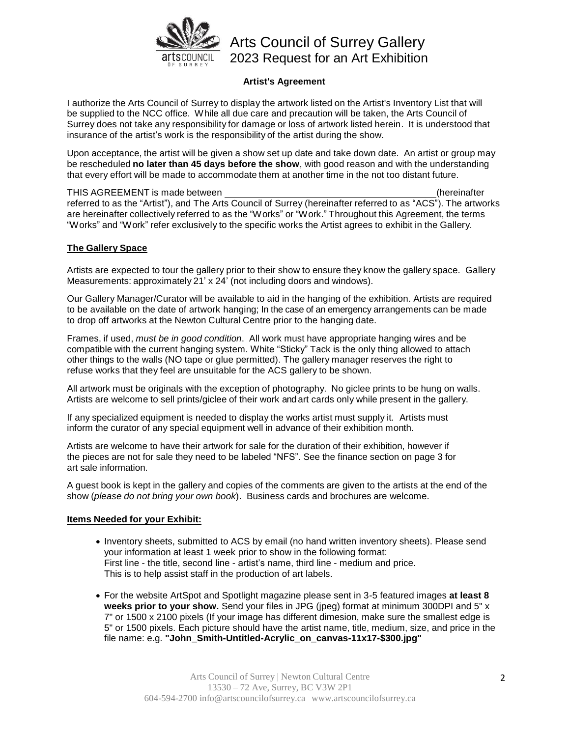

# Arts Council of Surrey Gallery 2023 Request for an Art Exhibition

# **Artist's Agreement**

I authorize the Arts Council of Surrey to display the artwork listed on the Artist's Inventory List that will be supplied to the NCC office. While all due care and precaution will be taken, the Arts Council of Surrey does not take any responsibility for damage or loss of artwork listed herein. It is understood that insurance of the artist's work is the responsibility of the artist during the show.

Upon acceptance, the artist will be given a show set up date and take down date. An artist or group may be rescheduled **no later than 45 days before the show**, with good reason and with the understanding that every effort will be made to accommodate them at another time in the not too distant future.

THIS AGREEMENT is made between (hereinafter referred to as the "Artist"), and The Arts Council of Surrey (hereinafter referred to as "ACS"). The artworks are hereinafter collectively referred to as the "Works" or "Work." Throughout this Agreement, the terms "Works" and "Work" refer exclusively to the specific works the Artist agrees to exhibit in the Gallery.

#### **The Gallery Space**

Artists are expected to tour the gallery prior to their show to ensure they know the gallery space. Gallery Measurements: approximately 21' x 24' (not including doors and windows).

Our Gallery Manager/Curator will be available to aid in the hanging of the exhibition. Artists are required to be available on the date of artwork hanging; In the case of an emergency arrangements can be made to drop off artworks at the Newton Cultural Centre prior to the hanging date.

Frames, if used, *must be in good condition*. All work must have appropriate hanging wires and be compatible with the current hanging system. White "Sticky" Tack is the only thing allowed to attach other things to the walls (NO tape or glue permitted). The gallery manager reserves the right to refuse works that they feel are unsuitable for the ACS gallery to be shown.

All artwork must be originals with the exception of photography. No giclee prints to be hung on walls. Artists are welcome to sell prints/giclee of their work and art cards only while present in the gallery.

If any specialized equipment is needed to display the works artist must supply it. Artists must inform the curator of any special equipment well in advance of their exhibition month.

Artists are welcome to have their artwork for sale for the duration of their exhibition, however if the pieces are not for sale they need to be labeled "NFS". See the finance section on page 3 for art sale information.

A guest book is kept in the gallery and copies of the comments are given to the artists at the end of the show (*please do not bring your own book*). Business cards and brochures are welcome.

#### **Items Needed for your Exhibit:**

- Inventory sheets, submitted to ACS by email (no hand written inventory sheets). Please send your information at least 1 week prior to show in the following format: First line - the title, second line - artist's name, third line - medium and price. This is to help assist staff in the production of art labels.
- For the website ArtSpot and Spotlight magazine please sent in 3-5 featured images **at least 8 weeks prior to your show.** Send your files in JPG (jpeg) format at minimum 300DPI and 5" x 7" or 1500 x 2100 pixels (If your image has different dimesion, make sure the smallest edge is 5" or 1500 pixels. Each picture should have the artist name, title, medium, size, and price in the file name: e.g. **"John\_Smith-Untitled-Acrylic\_on\_canvas-11x17-\$300.jpg"**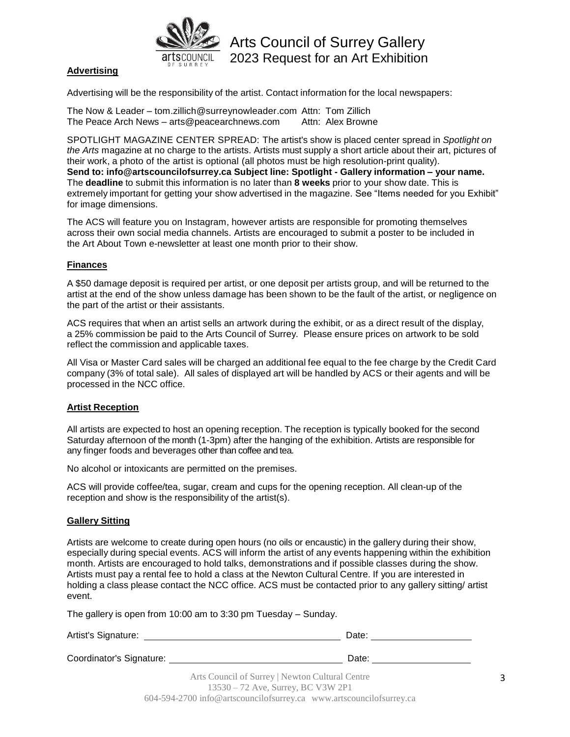

Arts Council of Surrey Gallery 2023 Request for an Art Exhibition

# **Advertising**

Advertising will be the responsibility of the artist. Contact information for the local newspapers:

The Now & Leader – tom.zillich@surreynowleader.com Attn: Tom Zillich The Peace Arch News – arts@peacearchnews.com Attn: Alex Browne

SPOTLIGHT MAGAZINE CENTER SPREAD: The artist's show is placed center spread in *Spotlight on the Arts* magazine at no charge to the artists. Artists must supply a short article about their art, pictures of their work, a photo of the artist is optional (all photos must be high resolution-print quality). **Send to: info@artscouncilofsurrey.ca Subject line: Spotlight - Gallery information – your name.** The **deadline** to submit this information is no later than **8 weeks** prior to your show date. This is extremely important for getting your show advertised in the magazine. See "Items needed for you Exhibit" for image dimensions.

The ACS will feature you on Instagram, however artists are responsible for promoting themselves across their own social media channels. Artists are encouraged to submit a poster to be included in the Art About Town e-newsletter at least one month prior to their show.

#### **Finances**

A \$50 damage deposit is required per artist, or one deposit per artists group, and will be returned to the artist at the end of the show unless damage has been shown to be the fault of the artist, or negligence on the part of the artist or their assistants.

ACS requires that when an artist sells an artwork during the exhibit, or as a direct result of the display, a 25% commission be paid to the Arts Council of Surrey. Please ensure prices on artwork to be sold reflect the commission and applicable taxes.

All Visa or Master Card sales will be charged an additional fee equal to the fee charge by the Credit Card company (3% of total sale). All sales of displayed art will be handled by ACS or their agents and will be processed in the NCC office.

# **Artist Reception**

All artists are expected to host an opening reception. The reception is typically booked for the second Saturday afternoon of the month (1-3pm) after the hanging of the exhibition. Artists are responsible for any finger foods and beverages other than coffee and tea.

No alcohol or intoxicants are permitted on the premises.

ACS will provide coffee/tea, sugar, cream and cups for the opening reception. All clean-up of the reception and show is the responsibility of the artist(s).

#### **Gallery Sitting**

Artists are welcome to create during open hours (no oils or encaustic) in the gallery during their show, especially during special events. ACS will inform the artist of any events happening within the exhibition month. Artists are encouraged to hold talks, demonstrations and if possible classes during the show. Artists must pay a rental fee to hold a class at the Newton Cultural Centre. If you are interested in holding a class please contact the NCC office. ACS must be contacted prior to any gallery sitting/ artist event.

The gallery is open from 10:00 am to 3:30 pm Tuesday – Sunday.

| Artist's Signature:      | Date:                                                               |
|--------------------------|---------------------------------------------------------------------|
| Coordinator's Signature: | Date:                                                               |
|                          | Arts Council of Surrey   Newton Cultural Centre                     |
|                          | 13530 – 72 Ave, Surrey, BC V3W 2P1                                  |
|                          | 604-594-2700 info@artscouncilofsurrey.ca www.artscouncilofsurrey.ca |

3